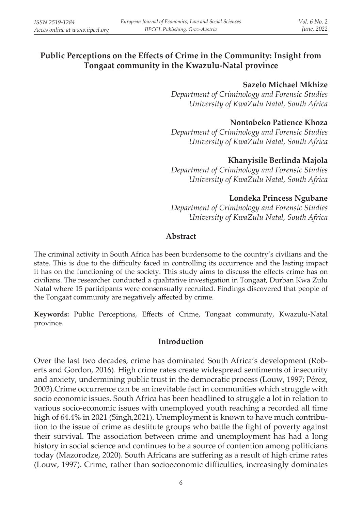# **Public Perceptions on the Effects of Crime in the Community: Insight from Tongaat community in the Kwazulu-Natal province**

#### **Sazelo Michael Mkhize**

*Department of Criminology and Forensic Studies University of KwaZulu Natal, South Africa*

### **Nontobeko Patience Khoza**

*Department of Criminology and Forensic Studies University of KwaZulu Natal, South Africa*

### **Khanyisile Berlinda Majola**

*Department of Criminology and Forensic Studies University of KwaZulu Natal, South Africa*

### **Londeka Princess Ngubane**

*Department of Criminology and Forensic Studies University of KwaZulu Natal, South Africa*

### **Abstract**

The criminal activity in South Africa has been burdensome to the country's civilians and the state. This is due to the difficulty faced in controlling its occurrence and the lasting impact it has on the functioning of the society. This study aims to discuss the effects crime has on civilians. The researcher conducted a qualitative investigation in Tongaat, Durban Kwa Zulu Natal where 15 participants were consensually recruited. Findings discovered that people of the Tongaat community are negatively affected by crime.

**Keywords:** Public Perceptions, Effects of Crime, Tongaat community, Kwazulu-Natal province.

#### **Introduction**

Over the last two decades, crime has dominated South Africa's development (Roberts and Gordon, 2016). High crime rates create widespread sentiments of insecurity and anxiety, undermining public trust in the democratic process (Louw, 1997; Pérez, 2003).Crime occurrence can be an inevitable fact in communities which struggle with socio economic issues. South Africa has been headlined to struggle a lot in relation to various socio-economic issues with unemployed youth reaching a recorded all time high of 64.4% in 2021 (Singh,2021). Unemployment is known to have much contribution to the issue of crime as destitute groups who battle the fight of poverty against their survival. The association between crime and unemployment has had a long history in social science and continues to be a source of contention among politicians today (Mazorodze, 2020). South Africans are suffering as a result of high crime rates (Louw, 1997). Crime, rather than socioeconomic difficulties, increasingly dominates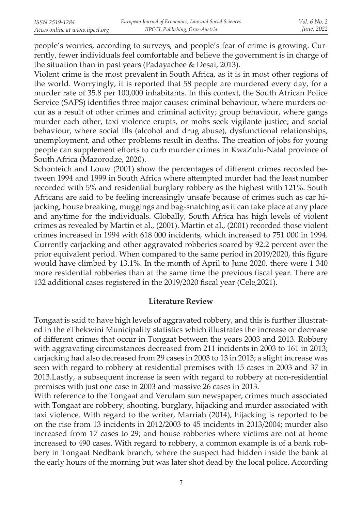people's worries, according to surveys, and people's fear of crime is growing. Currently, fewer individuals feel comfortable and believe the government is in charge of the situation than in past years (Padayachee & Desai, 2013).

Violent crime is the most prevalent in South Africa, as it is in most other regions of the world. Worryingly, it is reported that 58 people are murdered every day, for a murder rate of 35.8 per 100,000 inhabitants. In this context, the South African Police Service (SAPS) identifies three major causes: criminal behaviour, where murders occur as a result of other crimes and criminal activity; group behaviour, where gangs murder each other, taxi violence erupts, or mobs seek vigilante justice; and social behaviour, where social ills (alcohol and drug abuse), dysfunctional relationships, unemployment, and other problems result in deaths. The creation of jobs for young people can supplement efforts to curb murder crimes in KwaZulu-Natal province of South Africa (Mazorodze, 2020).

Schonteich and Louw (2001) show the percentages of different crimes recorded between 1994 and 1999 in South Africa where attempted murder had the least number recorded with 5% and residential burglary robbery as the highest with 121%. South Africans are said to be feeling increasingly unsafe because of crimes such as car hijacking, house breaking, muggings and bag-snatching as it can take place at any place and anytime for the individuals. Globally, South Africa has high levels of violent crimes as revealed by Martin et al., (2001). Martin et al., (2001) recorded those violent crimes increased in 1994 with 618 000 incidents, which increased to 751 000 in 1994. Currently carjacking and other aggravated robberies soared by 92.2 percent over the prior equivalent period. When compared to the same period in 2019/2020, this figure would have climbed by 13.1%. In the month of April to June 2020, there were 1 340 more residential robberies than at the same time the previous fiscal year. There are 132 additional cases registered in the 2019/2020 fiscal year (Cele,2021).

#### **Literature Review**

Tongaat is said to have high levels of aggravated robbery, and this is further illustrated in the eThekwini Municipality statistics which illustrates the increase or decrease of different crimes that occur in Tongaat between the years 2003 and 2013. Robbery with aggravating circumstances decreased from 211 incidents in 2003 to 161 in 2013; carjacking had also decreased from 29 cases in 2003 to 13 in 2013; a slight increase was seen with regard to robbery at residential premises with 15 cases in 2003 and 37 in 2013.Lastly, a subsequent increase is seen with regard to robbery at non-residential premises with just one case in 2003 and massive 26 cases in 2013.

With reference to the Tongaat and Verulam sun newspaper, crimes much associated with Tongaat are robbery, shooting, burglary, hijacking and murder associated with taxi violence. With regard to the writer, Marriah (2014), hijacking is reported to be on the rise from 13 incidents in 2012/2003 to 45 incidents in 2013/2004; murder also increased from 17 cases to 29; and house robberies where victims are not at home increased to 490 cases. With regard to robbery, a common example is of a bank robbery in Tongaat Nedbank branch, where the suspect had hidden inside the bank at the early hours of the morning but was later shot dead by the local police. According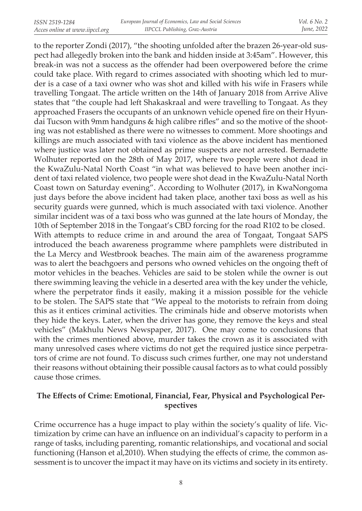to the reporter Zondi (2017), "the shooting unfolded after the brazen 26-year-old suspect had allegedly broken into the bank and hidden inside at 3:45am". However, this break-in was not a success as the offender had been overpowered before the crime could take place. With regard to crimes associated with shooting which led to murder is a case of a taxi owner who was shot and killed with his wife in Frasers while travelling Tongaat. The article written on the 14th of January 2018 from Arrive Alive states that "the couple had left Shakaskraal and were travelling to Tongaat. As they approached Frasers the occupants of an unknown vehicle opened fire on their Hyundai Tucson with 9mm handguns & high calibre rifles" and so the motive of the shooting was not established as there were no witnesses to comment. More shootings and killings are much associated with taxi violence as the above incident has mentioned where justice was later not obtained as prime suspects are not arrested. Bernadette Wolhuter reported on the 28th of May 2017, where two people were shot dead in the KwaZulu-Natal North Coast "in what was believed to have been another incident of taxi related violence, two people were shot dead in the KwaZulu-Natal North Coast town on Saturday evening". According to Wolhuter (2017), in KwaNongoma just days before the above incident had taken place, another taxi boss as well as his security guards were gunned, which is much associated with taxi violence. Another similar incident was of a taxi boss who was gunned at the late hours of Monday, the 10th of September 2018 in the Tongaat's CBD forcing for the road R102 to be closed. With attempts to reduce crime in and around the area of Tongaat, Tongaat SAPS introduced the beach awareness programme where pamphlets were distributed in the La Mercy and Westbrook beaches. The main aim of the awareness programme was to alert the beachgoers and persons who owned vehicles on the ongoing theft of motor vehicles in the beaches. Vehicles are said to be stolen while the owner is out there swimming leaving the vehicle in a deserted area with the key under the vehicle, where the perpetrator finds it easily, making it a mission possible for the vehicle to be stolen. The SAPS state that "We appeal to the motorists to refrain from doing this as it entices criminal activities. The criminals hide and observe motorists when they hide the keys. Later, when the driver has gone, they remove the keys and steal vehicles" (Makhulu News Newspaper, 2017). One may come to conclusions that with the crimes mentioned above, murder takes the crown as it is associated with many unresolved cases where victims do not get the required justice since perpetrators of crime are not found. To discuss such crimes further, one may not understand their reasons without obtaining their possible causal factors as to what could possibly cause those crimes.

# **The Effects of Crime: Emotional, Financial, Fear, Physical and Psychological Perspectives**

Crime occurrence has a huge impact to play within the society's quality of life. Victimization by crime can have an influence on an individual's capacity to perform in a range of tasks, including parenting, romantic relationships, and vocational and social functioning (Hanson et al,2010). When studying the effects of crime, the common assessment is to uncover the impact it may have on its victims and society in its entirety.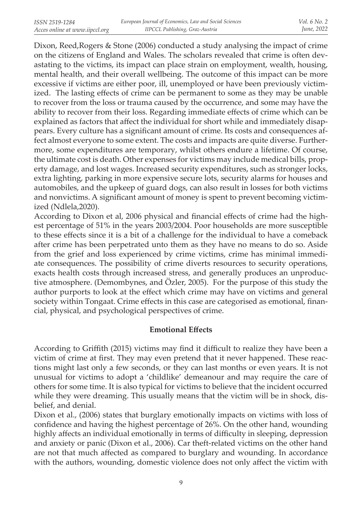Dixon, Reed,Rogers & Stone (2006) conducted a study analysing the impact of crime on the citizens of England and Wales. The scholars revealed that crime is often devastating to the victims, its impact can place strain on employment, wealth, housing, mental health, and their overall wellbeing. The outcome of this impact can be more excessive if victims are either poor, ill, unemployed or have been previously victimized. The lasting effects of crime can be permanent to some as they may be unable to recover from the loss or trauma caused by the occurrence, and some may have the ability to recover from their loss. Regarding immediate effects of crime which can be explained as factors that affect the individual for short while and immediately disappears. Every culture has a significant amount of crime. Its costs and consequences affect almost everyone to some extent. The costs and impacts are quite diverse. Furthermore, some expenditures are temporary, whilst others endure a lifetime. Of course, the ultimate cost is death. Other expenses for victims may include medical bills, property damage, and lost wages. Increased security expenditures, such as stronger locks, extra lighting, parking in more expensive secure lots, security alarms for houses and automobiles, and the upkeep of guard dogs, can also result in losses for both victims and nonvictims. A significant amount of money is spent to prevent becoming victimized (Ndlela,2020).

According to Dixon et al, 2006 physical and financial effects of crime had the highest percentage of 51% in the years 2003/2004. Poor households are more susceptible to these effects since it is a bit of a challenge for the individual to have a comeback after crime has been perpetrated unto them as they have no means to do so. Aside from the grief and loss experienced by crime victims, crime has minimal immediate consequences. The possibility of crime diverts resources to security operations, exacts health costs through increased stress, and generally produces an unproductive atmosphere. (Demombynes, and Özler, 2005). For the purpose of this study the author purports to look at the effect which crime may have on victims and general society within Tongaat. Crime effects in this case are categorised as emotional, financial, physical, and psychological perspectives of crime.

### **Emotional Effects**

According to Griffith (2015) victims may find it difficult to realize they have been a victim of crime at first. They may even pretend that it never happened. These reactions might last only a few seconds, or they can last months or even years. It is not unusual for victims to adopt a 'childlike' demeanour and may require the care of others for some time. It is also typical for victims to believe that the incident occurred while they were dreaming. This usually means that the victim will be in shock, disbelief, and denial.

Dixon et al., (2006) states that burglary emotionally impacts on victims with loss of confidence and having the highest percentage of 26%. On the other hand, wounding highly affects an individual emotionally in terms of difficulty in sleeping, depression and anxiety or panic (Dixon et al., 2006). Car theft-related victims on the other hand are not that much affected as compared to burglary and wounding. In accordance with the authors, wounding, domestic violence does not only affect the victim with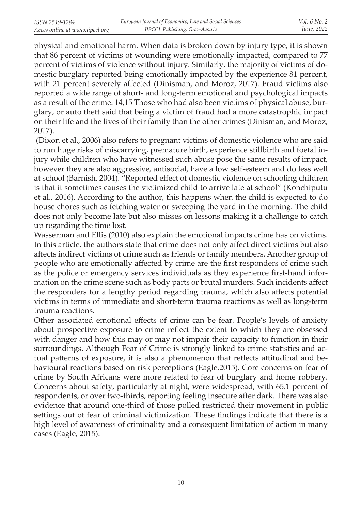physical and emotional harm. When data is broken down by injury type, it is shown that 86 percent of victims of wounding were emotionally impacted, compared to 77 percent of victims of violence without injury. Similarly, the majority of victims of domestic burglary reported being emotionally impacted by the experience 81 percent, with 21 percent severely affected (Dinisman, and Moroz, 2017). Fraud victims also reported a wide range of short- and long-term emotional and psychological impacts as a result of the crime. 14,15 Those who had also been victims of physical abuse, burglary, or auto theft said that being a victim of fraud had a more catastrophic impact on their life and the lives of their family than the other crimes (Dinisman, and Moroz, 2017).

 (Dixon et al., 2006) also refers to pregnant victims of domestic violence who are said to run huge risks of miscarrying, premature birth, experience stillbirth and foetal injury while children who have witnessed such abuse pose the same results of impact, however they are also aggressive, antisocial, have a low self-esteem and do less well at school (Barnish, 2004). "Reported effect of domestic violence on schooling children is that it sometimes causes the victimized child to arrive late at school" (Konchiputu et al., 2016). According to the author, this happens when the child is expected to do house chores such as fetching water or sweeping the yard in the morning. The child does not only become late but also misses on lessons making it a challenge to catch up regarding the time lost.

Wasserman and Ellis (2010) also explain the emotional impacts crime has on victims. In this article, the authors state that crime does not only affect direct victims but also affects indirect victims of crime such as friends or family members. Another group of people who are emotionally affected by crime are the first responders of crime such as the police or emergency services individuals as they experience first-hand information on the crime scene such as body parts or brutal murders. Such incidents affect the responders for a lengthy period regarding trauma, which also affects potential victims in terms of immediate and short-term trauma reactions as well as long-term trauma reactions.

Other associated emotional effects of crime can be fear. People's levels of anxiety about prospective exposure to crime reflect the extent to which they are obsessed with danger and how this may or may not impair their capacity to function in their surroundings. Although Fear of Crime is strongly linked to crime statistics and actual patterns of exposure, it is also a phenomenon that reflects attitudinal and behavioural reactions based on risk perceptions (Eagle,2015). Core concerns on fear of crime by South Africans were more related to fear of burglary and home robbery. Concerns about safety, particularly at night, were widespread, with 65.1 percent of respondents, or over two-thirds, reporting feeling insecure after dark. There was also evidence that around one-third of those polled restricted their movement in public settings out of fear of criminal victimization. These findings indicate that there is a high level of awareness of criminality and a consequent limitation of action in many cases (Eagle, 2015).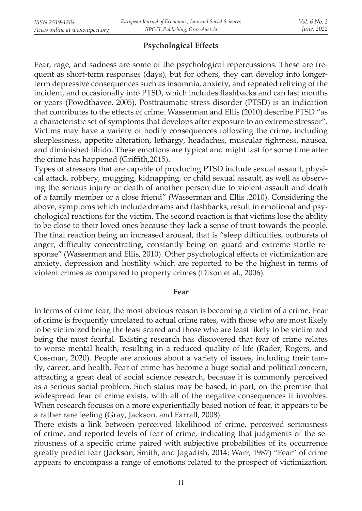# **Psychological Effects**

Fear, rage, and sadness are some of the psychological repercussions. These are frequent as short-term responses (days), but for others, they can develop into longerterm depressive consequences such as insomnia, anxiety, and repeated reliving of the incident, and occasionally into PTSD, which includes flashbacks and can last months or years (Powdthavee, 2005). Posttraumatic stress disorder (PTSD) is an indication that contributes to the effects of crime. Wasserman and Ellis (2010) describe PTSD "as a characteristic set of symptoms that develops after exposure to an extreme stressor". Victims may have a variety of bodily consequences following the crime, including sleeplessness, appetite alteration, lethargy, headaches, muscular tightness, nausea, and diminished libido. These emotions are typical and might last for some time after the crime has happened (Griffith,2015).

Types of stressors that are capable of producing PTSD include sexual assault, physical attack, robbery, mugging, kidnapping, or child sexual assault, as well as observing the serious injury or death of another person due to violent assault and death of a family member or a close friend" (Wasserman and Ellis ,2010). Considering the above, symptoms which include dreams and flashbacks, result in emotional and psychological reactions for the victim. The second reaction is that victims lose the ability to be close to their loved ones because they lack a sense of trust towards the people. The final reaction being an increased arousal, that is "sleep difficulties, outbursts of anger, difficulty concentrating, constantly being on guard and extreme startle response" (Wasserman and Ellis, 2010). Other psychological effects of victimization are anxiety, depression and hostility which are reported to be the highest in terms of violent crimes as compared to property crimes (Dixon et al., 2006).

#### **Fear**

In terms of crime fear, the most obvious reason is becoming a victim of a crime. Fear of crime is frequently unrelated to actual crime rates, with those who are most likely to be victimized being the least scared and those who are least likely to be victimized being the most fearful. Existing research has discovered that fear of crime relates to worse mental health, resulting in a reduced quality of life (Rader, Rogers, and Cossman, 2020). People are anxious about a variety of issues, including their family, career, and health. Fear of crime has become a huge social and political concern, attracting a great deal of social science research, because it is commonly perceived as a serious social problem. Such status may be based, in part, on the premise that widespread fear of crime exists, with all of the negative consequences it involves. When research focuses on a more experientially based notion of fear, it appears to be a rather rare feeling (Gray, Jackson. and Farrall, 2008).

There exists a link between perceived likelihood of crime, perceived seriousness of crime, and reported levels of fear of crime, indicating that judgments of the seriousness of a specific crime paired with subjective probabilities of its occurrence greatly predict fear (Jackson, Smith, and Jagadish, 2014; Warr, 1987) "Fear" of crime appears to encompass a range of emotions related to the prospect of victimization.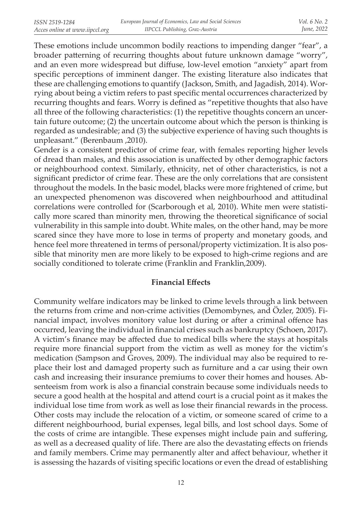These emotions include uncommon bodily reactions to impending danger "fear", a broader patterning of recurring thoughts about future unknown damage "worry", and an even more widespread but diffuse, low-level emotion "anxiety" apart from specific perceptions of imminent danger. The existing literature also indicates that these are challenging emotions to quantify (Jackson, Smith, and Jagadish, 2014). Worrying about being a victim refers to past specific mental occurrences characterized by recurring thoughts and fears. Worry is defined as "repetitive thoughts that also have all three of the following characteristics: (1) the repetitive thoughts concern an uncertain future outcome; (2) the uncertain outcome about which the person is thinking is regarded as undesirable; and (3) the subjective experience of having such thoughts is unpleasant." (Berenbaum ,2010).

Gender is a consistent predictor of crime fear, with females reporting higher levels of dread than males, and this association is unaffected by other demographic factors or neighbourhood context. Similarly, ethnicity, net of other characteristics, is not a significant predictor of crime fear. These are the only correlations that are consistent throughout the models. In the basic model, blacks were more frightened of crime, but an unexpected phenomenon was discovered when neighbourhood and attitudinal correlations were controlled for (Scarborough et al, 2010). White men were statistically more scared than minority men, throwing the theoretical significance of social vulnerability in this sample into doubt. White males, on the other hand, may be more scared since they have more to lose in terms of property and monetary goods, and hence feel more threatened in terms of personal/property victimization. It is also possible that minority men are more likely to be exposed to high-crime regions and are socially conditioned to tolerate crime (Franklin and Franklin,2009).

### **Financial Effects**

Community welfare indicators may be linked to crime levels through a link between the returns from crime and non-crime activities (Demombynes, and Özler, 2005). Financial impact, involves monitory value lost during or after a criminal offence has occurred, leaving the individual in financial crises such as bankruptcy (Schoen, 2017). A victim's finance may be affected due to medical bills where the stays at hospitals require more financial support from the victim as well as money for the victim's medication (Sampson and Groves, 2009). The individual may also be required to replace their lost and damaged property such as furniture and a car using their own cash and increasing their insurance premiums to cover their homes and houses. Absenteeism from work is also a financial constrain because some individuals needs to secure a good health at the hospital and attend court is a crucial point as it makes the individual lose time from work as well as lose their financial rewards in the process. Other costs may include the relocation of a victim, or someone scared of crime to a different neighbourhood, burial expenses, legal bills, and lost school days. Some of the costs of crime are intangible. These expenses might include pain and suffering, as well as a decreased quality of life. There are also the devastating effects on friends and family members. Crime may permanently alter and affect behaviour, whether it is assessing the hazards of visiting specific locations or even the dread of establishing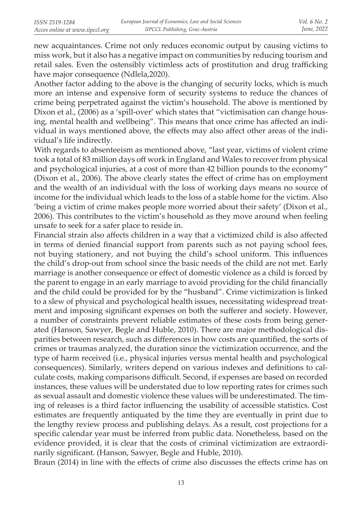new acquaintances. Crime not only reduces economic output by causing victims to miss work, but it also has a negative impact on communities by reducing tourism and retail sales. Even the ostensibly victimless acts of prostitution and drug trafficking have major consequence (Ndlela,2020).

Another factor adding to the above is the changing of security locks, which is much more an intense and expensive form of security systems to reduce the chances of crime being perpetrated against the victim's household. The above is mentioned by Dixon et al., (2006) as a 'spill-over' which states that "victimisation can change housing, mental health and wellbeing". This means that once crime has affected an individual in ways mentioned above, the effects may also affect other areas of the individual's life indirectly.

With regards to absenteeism as mentioned above, "last year, victims of violent crime took a total of 83 million days off work in England and Wales to recover from physical and psychological injuries, at a cost of more than 42 billion pounds to the economy" (Dixon et al., 2006). The above clearly states the effect of crime has on employment and the wealth of an individual with the loss of working days means no source of income for the individual which leads to the loss of a stable home for the victim. Also 'being a victim of crime makes people more worried about their safety' (Dixon et al., 2006). This contributes to the victim's household as they move around when feeling unsafe to seek for a safer place to reside in.

Financial strain also affects children in a way that a victimized child is also affected in terms of denied financial support from parents such as not paying school fees, not buying stationery, and not buying the child's school uniform. This influences the child's drop-out from school since the basic needs of the child are not met. Early marriage is another consequence or effect of domestic violence as a child is forced by the parent to engage in an early marriage to avoid providing for the child financially and the child could be provided for by the "husband". Crime victimization is linked to a slew of physical and psychological health issues, necessitating widespread treatment and imposing significant expenses on both the sufferer and society. However, a number of constraints prevent reliable estimates of these costs from being generated (Hanson, Sawyer, Begle and Huble, 2010). There are major methodological disparities between research, such as differences in how costs are quantified, the sorts of crimes or traumas analyzed, the duration since the victimization occurrence, and the type of harm received (i.e., physical injuries versus mental health and psychological consequences). Similarly, writers depend on various indexes and definitions to calculate costs, making comparisons difficult. Second, if expenses are based on recorded instances, these values will be understated due to low reporting rates for crimes such as sexual assault and domestic violence these values will be underestimated. The timing of releases is a third factor influencing the usability of accessible statistics. Cost estimates are frequently antiquated by the time they are eventually in print due to the lengthy review process and publishing delays. As a result, cost projections for a specific calendar year must be inferred from public data. Nonetheless, based on the evidence provided, it is clear that the costs of criminal victimization are extraordinarily significant. (Hanson, Sawyer, Begle and Huble, 2010).

Braun (2014) in line with the effects of crime also discusses the effects crime has on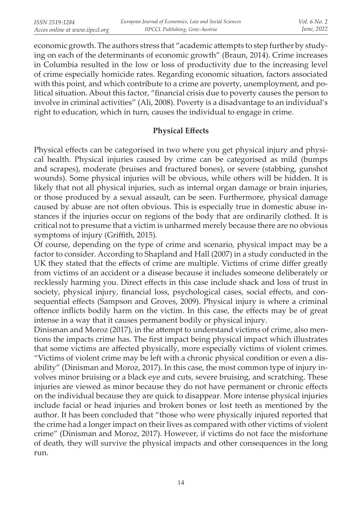economic growth. The authors stress that "academic attempts to step further by studying on each of the determinants of economic growth" (Braun, 2014). Crime increases in Columbia resulted in the low or loss of productivity due to the increasing level of crime especially homicide rates. Regarding economic situation, factors associated with this point, and which contribute to a crime are poverty, unemployment, and political situation. About this factor, "financial crisis due to poverty causes the person to involve in criminal activities" (Ali, 2008). Poverty is a disadvantage to an individual's right to education, which in turn, causes the individual to engage in crime.

### **Physical Effects**

Physical effects can be categorised in two where you get physical injury and physical health. Physical injuries caused by crime can be categorised as mild (bumps and scrapes), moderate (bruises and fractured bones), or severe (stabbing, gunshot wounds). Some physical injuries will be obvious, while others will be hidden. It is likely that not all physical injuries, such as internal organ damage or brain injuries, or those produced by a sexual assault, can be seen. Furthermore, physical damage caused by abuse are not often obvious. This is especially true in domestic abuse instances if the injuries occur on regions of the body that are ordinarily clothed. It is critical not to presume that a victim is unharmed merely because there are no obvious symptoms of injury (Griffith, 2015).

Of course, depending on the type of crime and scenario, physical impact may be a factor to consider. According to Shapland and Hall (2007) in a study conducted in the UK they stated that the effects of crime are multiple. Victims of crime differ greatly from victims of an accident or a disease because it includes someone deliberately or recklessly harming you. Direct effects in this case include shack and loss of trust in society, physical injury, financial loss, psychological cases, social effects, and consequential effects (Sampson and Groves, 2009). Physical injury is where a criminal offence inflicts bodily harm on the victim. In this case, the effects may be of great intense in a way that it causes permanent bodily or physical injury.

Dinisman and Moroz (2017), in the attempt to understand victims of crime, also mentions the impacts crime has. The first impact being physical impact which illustrates that some victims are affected physically, more especially victims of violent crimes. "Victims of violent crime may be left with a chronic physical condition or even a disability" (Dinisman and Moroz, 2017). In this case, the most common type of injury involves minor bruising or a black eye and cuts, severe bruising, and scratching. These injuries are viewed as minor because they do not have permanent or chronic effects on the individual because they are quick to disappear. More intense physical injuries include facial or head injuries and broken bones or lost teeth as mentioned by the author. It has been concluded that "those who were physically injured reported that the crime had a longer impact on their lives as compared with other victims of violent crime" (Dinisman and Moroz, 2017). However, if victims do not face the misfortune of death, they will survive the physical impacts and other consequences in the long run.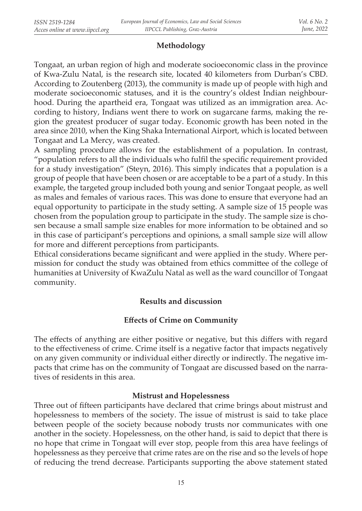# **Methodology**

Tongaat, an urban region of high and moderate socioeconomic class in the province of Kwa-Zulu Natal, is the research site, located 40 kilometers from Durban's CBD. According to Zoutenberg (2013), the community is made up of people with high and moderate socioeconomic statuses, and it is the country's oldest Indian neighbourhood. During the apartheid era, Tongaat was utilized as an immigration area. According to history, Indians went there to work on sugarcane farms, making the region the greatest producer of sugar today. Economic growth has been noted in the area since 2010, when the King Shaka International Airport, which is located between Tongaat and La Mercy, was created.

A sampling procedure allows for the establishment of a population. In contrast, "population refers to all the individuals who fulfil the specific requirement provided for a study investigation" (Steyn, 2016). This simply indicates that a population is a group of people that have been chosen or are acceptable to be a part of a study. In this example, the targeted group included both young and senior Tongaat people, as well as males and females of various races. This was done to ensure that everyone had an equal opportunity to participate in the study setting. A sample size of 15 people was chosen from the population group to participate in the study. The sample size is chosen because a small sample size enables for more information to be obtained and so in this case of participant's perceptions and opinions, a small sample size will allow for more and different perceptions from participants.

Ethical considerations became significant and were applied in the study. Where permission for conduct the study was obtained from ethics committee of the college of humanities at University of KwaZulu Natal as well as the ward councillor of Tongaat community.

# **Results and discussion**

### **Effects of Crime on Community**

The effects of anything are either positive or negative, but this differs with regard to the effectiveness of crime. Crime itself is a negative factor that impacts negatively on any given community or individual either directly or indirectly. The negative impacts that crime has on the community of Tongaat are discussed based on the narratives of residents in this area.

### **Mistrust and Hopelessness**

Three out of fifteen participants have declared that crime brings about mistrust and hopelessness to members of the society. The issue of mistrust is said to take place between people of the society because nobody trusts nor communicates with one another in the society. Hopelessness, on the other hand, is said to depict that there is no hope that crime in Tongaat will ever stop, people from this area have feelings of hopelessness as they perceive that crime rates are on the rise and so the levels of hope of reducing the trend decrease. Participants supporting the above statement stated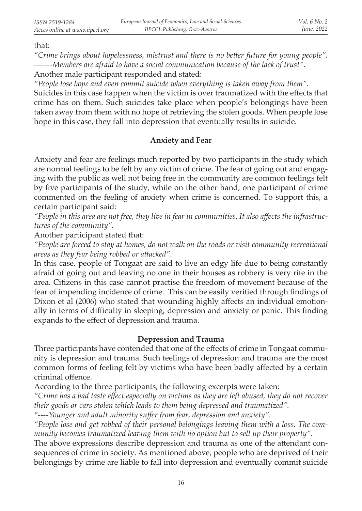that:

*"Crime brings about hopelessness, mistrust and there is no better future for young people". -------Members are afraid to have a social communication because of the lack of trust".*  Another male participant responded and stated:

*"People lose hope and even commit suicide when everything is taken away from them".* 

Suicides in this case happen when the victim is over traumatized with the effects that crime has on them. Such suicides take place when people's belongings have been taken away from them with no hope of retrieving the stolen goods. When people lose hope in this case, they fall into depression that eventually results in suicide.

# **Anxiety and Fear**

Anxiety and fear are feelings much reported by two participants in the study which are normal feelings to be felt by any victim of crime. The fear of going out and engaging with the public as well not being free in the community are common feelings felt by five participants of the study, while on the other hand, one participant of crime commented on the feeling of anxiety when crime is concerned. To support this, a certain participant said:

*"People in this area are not free, they live in fear in communities. It also affects the infrastructures of the community".* 

Another participant stated that:

*"People are forced to stay at homes, do not walk on the roads or visit community recreational areas as they fear being robbed or attacked".* 

In this case, people of Tongaat are said to live an edgy life due to being constantly afraid of going out and leaving no one in their houses as robbery is very rife in the area. Citizens in this case cannot practise the freedom of movement because of the fear of impending incidence of crime. This can be easily verified through findings of Dixon et al (2006) who stated that wounding highly affects an individual emotionally in terms of difficulty in sleeping, depression and anxiety or panic. This finding expands to the effect of depression and trauma.

# **Depression and Trauma**

Three participants have contended that one of the effects of crime in Tongaat community is depression and trauma. Such feelings of depression and trauma are the most common forms of feeling felt by victims who have been badly affected by a certain criminal offence.

According to the three participants, the following excerpts were taken:

*"Crime has a bad taste effect especially on victims as they are left abused, they do not recover their goods or cars stolen which leads to them being depressed and traumatized".* 

*"----Younger and adult minority suffer from fear, depression and anxiety".* 

*"People lose and get robbed of their personal belongings leaving them with a loss. The community becomes traumatized leaving them with no option but to sell up their property".* 

The above expressions describe depression and trauma as one of the attendant consequences of crime in society. As mentioned above, people who are deprived of their belongings by crime are liable to fall into depression and eventually commit suicide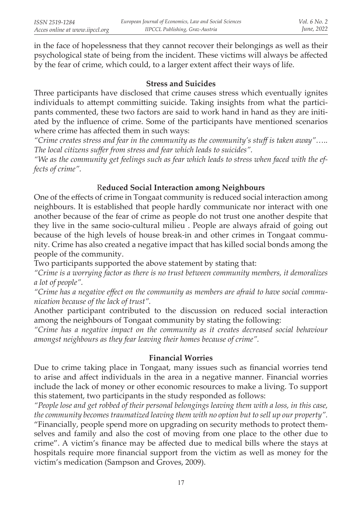in the face of hopelessness that they cannot recover their belongings as well as their psychological state of being from the incident. These victims will always be affected by the fear of crime, which could, to a larger extent affect their ways of life.

### **Stress and Suicides**

Three participants have disclosed that crime causes stress which eventually ignites individuals to attempt committing suicide. Taking insights from what the participants commented, these two factors are said to work hand in hand as they are initiated by the influence of crime. Some of the participants have mentioned scenarios where crime has affected them in such ways:

*"Crime creates stress and fear in the community as the community's stuff is taken away"….. The local citizens suffer from stress and fear which leads to suicides".* 

*"We as the community get feelings such as fear which leads to stress when faced with the effects of crime".* 

# R**educed Social Interaction among Neighbours**

One of the effects of crime in Tongaat community is reduced social interaction among neighbours. It is established that people hardly communicate nor interact with one another because of the fear of crime as people do not trust one another despite that they live in the same socio-cultural milieu . People are always afraid of going out because of the high levels of house break-in and other crimes in Tongaat community. Crime has also created a negative impact that has killed social bonds among the people of the community.

Two participants supported the above statement by stating that:

*"Crime is a worrying factor as there is no trust between community members, it demoralizes a lot of people".* 

*"Crime has a negative effect on the community as members are afraid to have social communication because of the lack of trust".* 

Another participant contributed to the discussion on reduced social interaction among the neighbours of Tongaat community by stating the following:

*"Crime has a negative impact on the community as it creates decreased social behaviour amongst neighbours as they fear leaving their homes because of crime".* 

#### **Financial Worries**

Due to crime taking place in Tongaat, many issues such as financial worries tend to arise and affect individuals in the area in a negative manner. Financial worries include the lack of money or other economic resources to make a living. To support this statement, two participants in the study responded as follows:

*"People lose and get robbed of their personal belongings leaving them with a loss, in this case, the community becomes traumatized leaving them with no option but to sell up our property".*  "Financially, people spend more on upgrading on security methods to protect themselves and family and also the cost of moving from one place to the other due to crime". A victim's finance may be affected due to medical bills where the stays at hospitals require more financial support from the victim as well as money for the victim's medication (Sampson and Groves, 2009).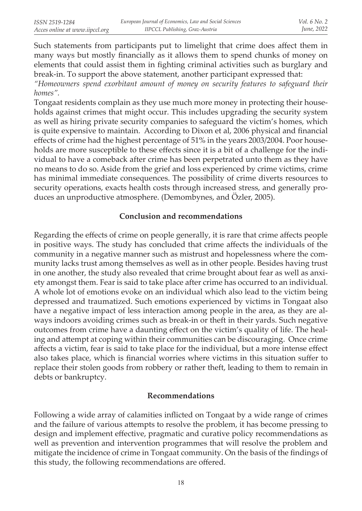Such statements from participants put to limelight that crime does affect them in many ways but mostly financially as it allows them to spend chunks of money on elements that could assist them in fighting criminal activities such as burglary and break-in. To support the above statement, another participant expressed that:

*"Homeowners spend exorbitant amount of money on security features to safeguard their homes".* 

Tongaat residents complain as they use much more money in protecting their households against crimes that might occur. This includes upgrading the security system as well as hiring private security companies to safeguard the victim's homes, which is quite expensive to maintain. According to Dixon et al, 2006 physical and financial effects of crime had the highest percentage of 51% in the years 2003/2004. Poor households are more susceptible to these effects since it is a bit of a challenge for the individual to have a comeback after crime has been perpetrated unto them as they have no means to do so. Aside from the grief and loss experienced by crime victims, crime has minimal immediate consequences. The possibility of crime diverts resources to security operations, exacts health costs through increased stress, and generally produces an unproductive atmosphere. (Demombynes, and Özler, 2005).

#### **Conclusion and recommendations**

Regarding the effects of crime on people generally, it is rare that crime affects people in positive ways. The study has concluded that crime affects the individuals of the community in a negative manner such as mistrust and hopelessness where the community lacks trust among themselves as well as in other people. Besides having trust in one another, the study also revealed that crime brought about fear as well as anxiety amongst them. Fear is said to take place after crime has occurred to an individual. A whole lot of emotions evoke on an individual which also lead to the victim being depressed and traumatized. Such emotions experienced by victims in Tongaat also have a negative impact of less interaction among people in the area, as they are always indoors avoiding crimes such as break-in or theft in their yards. Such negative outcomes from crime have a daunting effect on the victim's quality of life. The healing and attempt at coping within their communities can be discouraging. Once crime affects a victim, fear is said to take place for the individual, but a more intense effect also takes place, which is financial worries where victims in this situation suffer to replace their stolen goods from robbery or rather theft, leading to them to remain in debts or bankruptcy.

#### **Recommendations**

Following a wide array of calamities inflicted on Tongaat by a wide range of crimes and the failure of various attempts to resolve the problem, it has become pressing to design and implement effective, pragmatic and curative policy recommendations as well as prevention and intervention programmes that will resolve the problem and mitigate the incidence of crime in Tongaat community. On the basis of the findings of this study, the following recommendations are offered.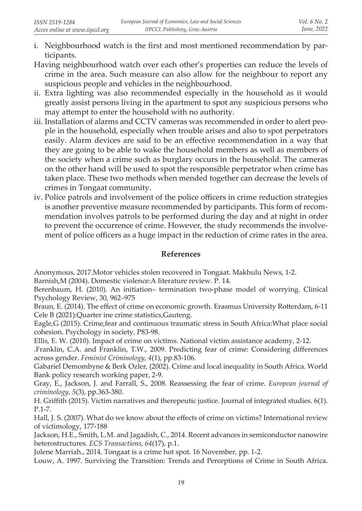- i. Neighbourhood watch is the first and most mentioned recommendation by participants.
- Having neighbourhood watch over each other's properties can reduce the levels of crime in the area. Such measure can also allow for the neighbour to report any suspicious people and vehicles in the neighbourhood.
- ii. Extra lighting was also recommended especially in the household as it would greatly assist persons living in the apartment to spot any suspicious persons who may attempt to enter the household with no authority.
- iii. Installation of alarms and CCTV cameras was recommended in order to alert people in the household, especially when trouble arises and also to spot perpetrators easily. Alarm devices are said to be an effective recommendation in a way that they are going to be able to wake the household members as well as members of the society when a crime such as burglary occurs in the household. The cameras on the other hand will be used to spot the responsible perpetrator when crime has taken place. These two methods when mended together can decrease the levels of crimes in Tongaat community.
- iv. Police patrols and involvement of the police officers in crime reduction strategies is another preventive measure recommended by participants. This form of recommendation involves patrols to be performed during the day and at night in order to prevent the occurrence of crime. However, the study recommends the involvement of police officers as a huge impact in the reduction of crime rates in the area.

### **References**

Anonymous, 2017.Motor vehicles stolen recovered in Tongaat. Makhulu News, 1-2.

Barnish,M (2004). Domestic violence:A literature review. P. 14.

Berenbaum, H. (2010). An initiation– termination two-phase model of worrying. Clinical Psychology Review, 30, 962–975

Braun, E. (2014). The effect of crime on economic growth. Erasmus University Rotterdam, 6-11 Cele B (2021):Quarter ine crime statistics,Gauteng.

Eagle,G (2015). Crime,fear and continuous traumatic stress in South Africa:What place social cohesion. Psychology in society. P83-98.

Ellis, E. W. (2010). Impact of crime on victims. National victim assistance academy, 2-12.

.Franklin, C.A. and Franklin, T.W., 2009. Predicting fear of crime: Considering differences across gender. *Feminist Criminology*, *4*(1), pp.83-106.

Gabariel Demombyne & Berk Ozler, (2002). Crime and local inequality in South Africa. World Bank policy research working paper, 2-9.

Gray, E., Jackson, J. and Farrall, S., 2008. Reassessing the fear of crime. *European journal of criminology*, *5*(3), pp.363-380.

H. Griffith (2015). Victim narratives and therepeutic justice. Journal of integrated studies. 6(1). P.1-7.

Hall, J. S. (2007). What do we know about the effects of crime on victims? International review of victimology, 177-188

Jackson, H.E., Smith, L.M. and Jagadish, C., 2014. Recent advances in semiconductor nanowire heterostructures. *ECS Transactions*, *64*(17), p.1.

Jolene Marriah., 2014. Tongaat is a crime hot spot. 16 November, pp. 1-2.

Louw, A. 1997. Surviving the Transition: Trends and Perceptions of Crime in South Africa.